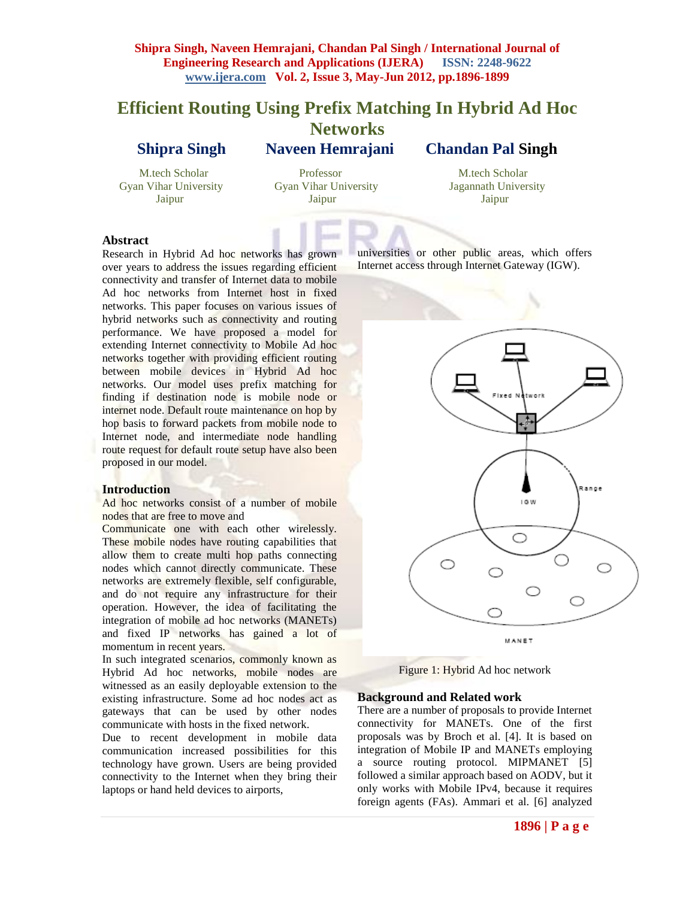# **Efficient Routing Using Prefix Matching In Hybrid Ad Hoc Networks Shipra Singh Naveen Hemrajani Chandan Pal Singh**

Jaipur Jaipur Jaipur

 M.tech Scholar Professor M.tech Scholar Gyan Vihar University Gyan Vihar University Jagannath University

## **Abstract**

Research in Hybrid Ad hoc networks has grown over years to address the issues regarding efficient connectivity and transfer of Internet data to mobile Ad hoc networks from Internet host in fixed networks. This paper focuses on various issues of hybrid networks such as connectivity and routing performance. We have proposed a model for extending Internet connectivity to Mobile Ad hoc networks together with providing efficient routing between mobile devices in Hybrid Ad hoc networks. Our model uses prefix matching for finding if destination node is mobile node or internet node. Default route maintenance on hop by hop basis to forward packets from mobile node to Internet node, and intermediate node handling route request for default route setup have also been proposed in our model.

#### **Introduction**

Ad hoc networks consist of a number of mobile nodes that are free to move and

Communicate one with each other wirelessly. These mobile nodes have routing capabilities that allow them to create multi hop paths connecting nodes which cannot directly communicate. These networks are extremely flexible, self configurable, and do not require any infrastructure for their operation. However, the idea of facilitating the integration of mobile ad hoc networks (MANETs) and fixed IP networks has gained a lot of momentum in recent years.

In such integrated scenarios, commonly known as Hybrid Ad hoc networks, mobile nodes are witnessed as an easily deployable extension to the existing infrastructure. Some ad hoc nodes act as gateways that can be used by other nodes communicate with hosts in the fixed network.

Due to recent development in mobile data communication increased possibilities for this technology have grown. Users are being provided connectivity to the Internet when they bring their laptops or hand held devices to airports,

universities or other public areas, which offers Internet access through Internet Gateway (IGW).



Figure 1: Hybrid Ad hoc network

#### **Background and Related work**

There are a number of proposals to provide Internet connectivity for MANETs. One of the first proposals was by Broch et al. [4]. It is based on integration of Mobile IP and MANETs employing a source routing protocol. MIPMANET [5] followed a similar approach based on AODV, but it only works with Mobile IPv4, because it requires foreign agents (FAs). Ammari et al. [6] analyzed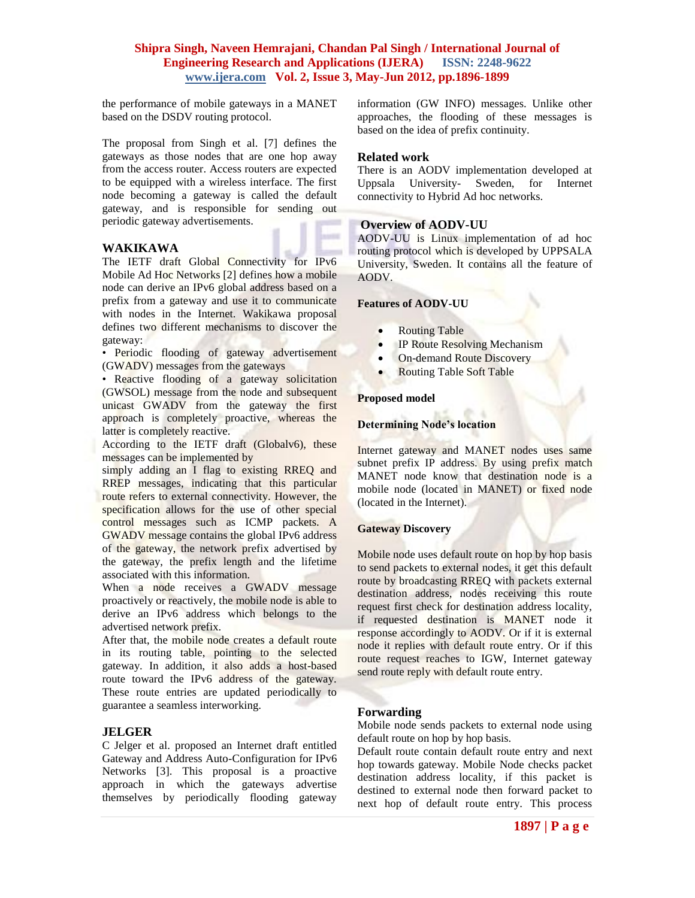the performance of mobile gateways in a MANET based on the DSDV routing protocol.

The proposal from Singh et al. [7] defines the gateways as those nodes that are one hop away from the access router. Access routers are expected to be equipped with a wireless interface. The first node becoming a gateway is called the default gateway, and is responsible for sending out periodic gateway advertisements.

### **WAKIKAWA**

The IETF draft Global Connectivity for IPv6 Mobile Ad Hoc Networks [2] defines how a mobile node can derive an IPv6 global address based on a prefix from a gateway and use it to communicate with nodes in the Internet. Wakikawa proposal defines two different mechanisms to discover the gateway:

• Periodic flooding of gateway advertisement (GWADV) messages from the gateways

• Reactive flooding of a gateway solicitation (GWSOL) message from the node and subsequent unicast GWADV from the gateway the first approach is completely proactive, whereas the latter is completely reactive.

According to the IETF draft (Globalv6), these messages can be implemented by

simply adding an I flag to existing RREQ and RREP messages, indicating that this particular route refers to external connectivity. However, the specification allows for the use of other special control messages such as ICMP packets. A GWADV message contains the global IPv6 address of the gateway, the network prefix advertised by the gateway, the prefix length and the lifetime associated with this information.

When a node receives a GWADV message proactively or reactively, the mobile node is able to derive an IPv6 address which belongs to the advertised network prefix.

After that, the mobile node creates a default route in its routing table, pointing to the selected gateway. In addition, it also adds a host-based route toward the IPv6 address of the gateway. These route entries are updated periodically to guarantee a seamless interworking.

### **JELGER**

C Jelger et al. proposed an Internet draft entitled Gateway and Address Auto-Configuration for IPv6 Networks [3]. This proposal is a proactive approach in which the gateways advertise themselves by periodically flooding gateway information (GW INFO) messages. Unlike other approaches, the flooding of these messages is based on the idea of prefix continuity.

#### **Related work**

There is an AODV implementation developed at Uppsala University- Sweden, for Internet connectivity to Hybrid Ad hoc networks.

### **Overview of AODV-UU**

AODV-UU is Linux implementation of ad hoc routing protocol which is developed by UPPSALA University, Sweden. It contains all the feature of AODV.

#### **Features of AODV-UU**

- Routing Table
- IP Route Resolving Mechanism
- On-demand Route Discovery
- Routing Table Soft Table

#### **Proposed model**

#### **Determining Node's location**

Internet gateway and MANET nodes uses same subnet prefix IP address. By using prefix match MANET node know that destination node is a mobile node (located in MANET) or fixed node (located in the Internet).

### **Gateway Discovery**

Mobile node uses default route on hop by hop basis to send packets to external nodes, it get this default route by broadcasting RREQ with packets external destination address, nodes receiving this route request first check for destination address locality, if requested destination is MANET node it response accordingly to AODV. Or if it is external node it replies with default route entry. Or if this route request reaches to IGW, Internet gateway send route reply with default route entry.

### **Forwarding**

Mobile node sends packets to external node using default route on hop by hop basis.

Default route contain default route entry and next hop towards gateway. Mobile Node checks packet destination address locality, if this packet is destined to external node then forward packet to next hop of default route entry. This process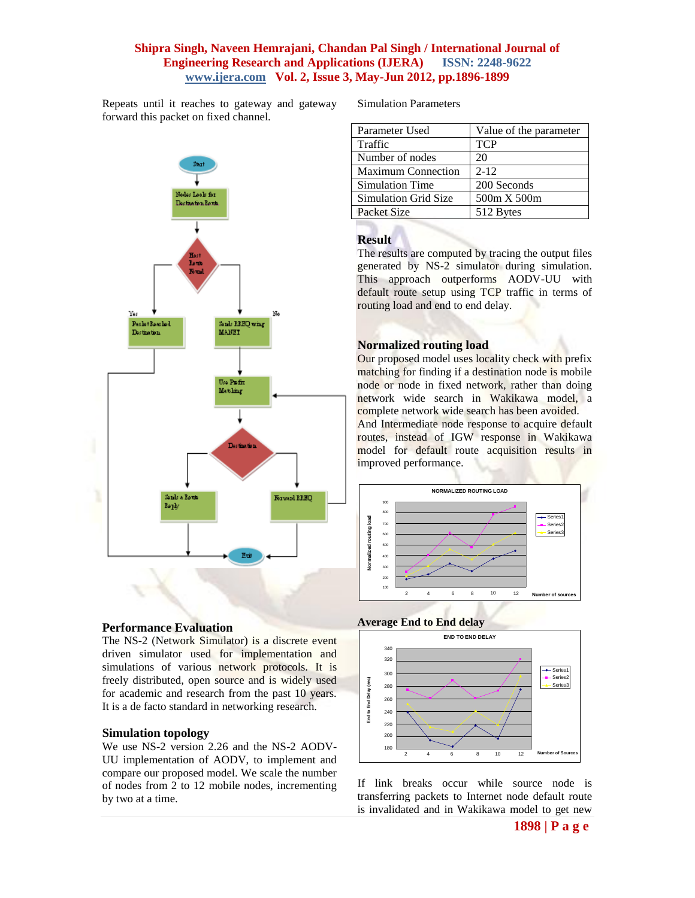Repeats until it reaches to gateway and gateway forward this packet on fixed channel.



### **Performance Evaluation**

The NS-2 (Network Simulator) is a discrete event driven simulator used for implementation and simulations of various network protocols. It is freely distributed, open source and is widely used for academic and research from the past 10 years. It is a de facto standard in networking research.

### **Simulation topology**

We use NS-2 version 2.26 and the NS-2 AODV-UU implementation of AODV, to implement and compare our proposed model. We scale the number of nodes from 2 to 12 mobile nodes, incrementing by two at a time.

Simulation Parameters

| Parameter Used            | Value of the parameter |
|---------------------------|------------------------|
| Traffic                   | <b>TCP</b>             |
| Number of nodes           | 20                     |
| <b>Maximum Connection</b> | $2 - 12$               |
| Simulation Time           | 200 Seconds            |
| Simulation Grid Size      | 500m X 500m            |
| Packet Size               | 512 Bytes              |

## **Result**

The results are computed by tracing the output files generated by NS-2 simulator during simulation. This approach outperforms AODV-UU with default route setup using TCP traffic in terms of routing load and end to end delay.

# **Normalized routing load**

Our proposed model uses locality check with prefix matching for finding if a destination node is mobile node or node in fixed network, rather than doing network wide search in Wakikawa model, a complete network wide search has been avoided. And Intermediate node response to acquire default routes, instead of IGW response in Wakikawa model for default route acquisition results in improved performance.



# **Average End to End delay**



If link breaks occur while source node is transferring packets to Internet node default route is invalidated and in Wakikawa model to get new